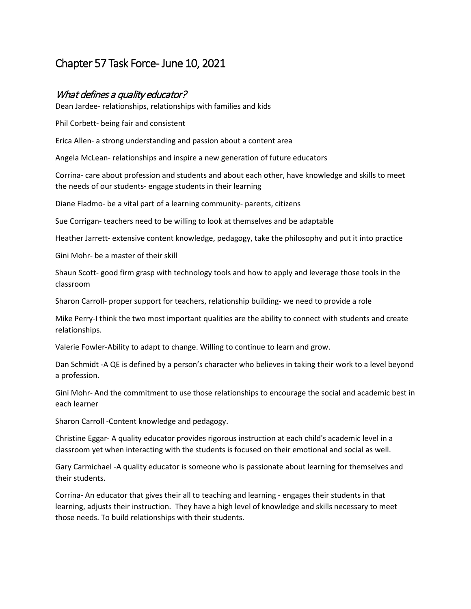## Chapter 57 Task Force- June 10, 2021

## What defines a quality educator?

Dean Jardee- relationships, relationships with families and kids

Phil Corbett- being fair and consistent

Erica Allen- a strong understanding and passion about a content area

Angela McLean- relationships and inspire a new generation of future educators

Corrina- care about profession and students and about each other, have knowledge and skills to meet the needs of our students- engage students in their learning

Diane Fladmo- be a vital part of a learning community- parents, citizens

Sue Corrigan- teachers need to be willing to look at themselves and be adaptable

Heather Jarrett- extensive content knowledge, pedagogy, take the philosophy and put it into practice

Gini Mohr- be a master of their skill

Shaun Scott- good firm grasp with technology tools and how to apply and leverage those tools in the classroom

Sharon Carroll- proper support for teachers, relationship building- we need to provide a role

Mike Perry-I think the two most important qualities are the ability to connect with students and create relationships.

Valerie Fowler-Ability to adapt to change. Willing to continue to learn and grow.

Dan Schmidt -A QE is defined by a person's character who believes in taking their work to a level beyond a profession.

Gini Mohr- And the commitment to use those relationships to encourage the social and academic best in each learner

Sharon Carroll -Content knowledge and pedagogy.

Christine Eggar- A quality educator provides rigorous instruction at each child's academic level in a classroom yet when interacting with the students is focused on their emotional and social as well.

Gary Carmichael -A quality educator is someone who is passionate about learning for themselves and their students.

Corrina- An educator that gives their all to teaching and learning - engages their students in that learning, adjusts their instruction. They have a high level of knowledge and skills necessary to meet those needs. To build relationships with their students.